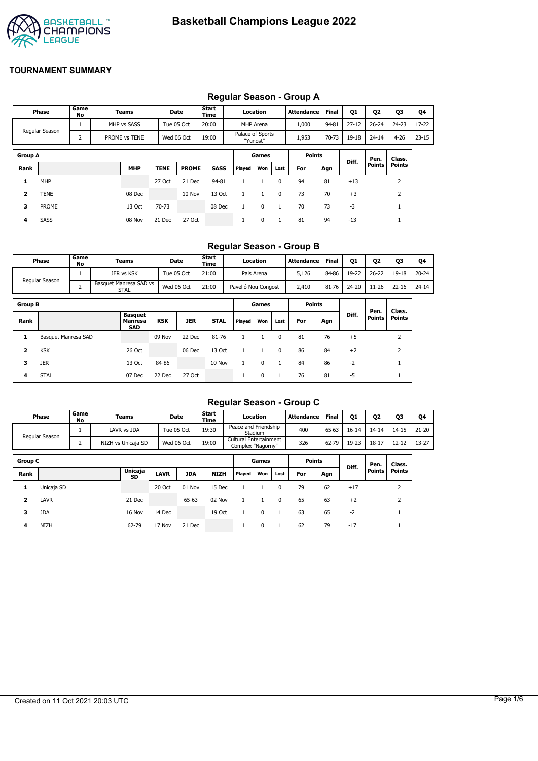

## **Regular Season - Group A**

|                         | Phase          | Game<br>No | Teams         |             | Date         | Start<br>Time |                  | Location  |      | Attendance    | <b>Final</b> | Q1        | Q2        | Q3            | Q4        |
|-------------------------|----------------|------------|---------------|-------------|--------------|---------------|------------------|-----------|------|---------------|--------------|-----------|-----------|---------------|-----------|
|                         |                |            | MHP vs SASS   |             | Tue 05 Oct   | 20:00         |                  | MHP Arena |      | 1,000         | 94-81        | $27 - 12$ | $26 - 24$ | $24 - 23$     | $17 - 22$ |
|                         | Regular Season | 2          | PROME vs TENE |             | Wed 06 Oct   | 19:00         | Palace of Sports | "Yunost"  |      | 1,953         | 70-73        | 19-18     | $24 - 14$ | $4 - 26$      | $23 - 15$ |
| <b>Group A</b>          |                |            |               |             |              |               |                  | Games     |      | <b>Points</b> |              | Diff.     | Pen.      | Class.        |           |
| Rank                    |                |            | <b>MHP</b>    | <b>TENE</b> | <b>PROME</b> | <b>SASS</b>   | Played           | Won       | Lost | For           | Agn          |           | Points    | <b>Points</b> |           |
| 1                       | <b>MHP</b>     |            |               | 27 Oct      | 21 Dec       | 94-81         |                  |           | 0    | 94            | 81           | $+13$     |           | 2             |           |
| $\overline{\mathbf{2}}$ | TENE           |            | 08 Dec        |             | 10 Nov       | 13 Oct        | $\mathbf{1}$     | 1         | 0    | 73            | 70           | $+3$      |           | 2             |           |
| 3                       | <b>PROME</b>   |            | 13 Oct        | 70-73       |              | 08 Dec        |                  | 0         |      | 70            | 73           | -3        |           |               |           |
| 4                       | <b>SASS</b>    |            | 08 Nov        | 21 Dec      | 27 Oct       |               |                  | 0         |      | 81            | 94           | $-13$     |           | <b>T</b>      |           |

### **Regular Season - Group B**

| <b>Phase</b>   | Game<br>No | Teams                          | Date       | Start<br>Time | Location            | <b>Attendance</b> | Final | <b>Q1</b> | 02        | Q3        | Q4        |
|----------------|------------|--------------------------------|------------|---------------|---------------------|-------------------|-------|-----------|-----------|-----------|-----------|
|                |            | JER vs KSK                     | Tue 05 Oct | 21:00         | Pais Arena          | 5.126             | 84-86 | 19-22     | $26 - 22$ | $19 - 18$ | $20 - 24$ |
| Regular Season |            | Basquet Manresa SAD vs<br>STAL | Wed 06 Oct | 21:00         | Pavelló Nou Congost | 2,410             | 81-76 | 24-20     | 11-26     | $22 - 16$ | $24 - 14$ |

| <b>Group B</b> |                     |                                                |            |            |             |        | Games |          | <b>Points</b> |     |       |                       |                         |
|----------------|---------------------|------------------------------------------------|------------|------------|-------------|--------|-------|----------|---------------|-----|-------|-----------------------|-------------------------|
| Rank           |                     | <b>Basquet</b><br><b>Manresa</b><br><b>SAD</b> | <b>KSK</b> | <b>JER</b> | <b>STAL</b> | Played | Won   | Lost     | For           | Agn | Diff. | Pen.<br><b>Points</b> | Class.<br><b>Points</b> |
|                | Basquet Manresa SAD |                                                | 09 Nov     | 22 Dec     | 81-76       |        |       | 0        | 81            | 76  | $+5$  |                       |                         |
| 2              | <b>KSK</b>          | 26 Oct                                         |            | 06 Dec     | 13 Oct      |        |       | $\Omega$ | 86            | 84  | $+2$  |                       |                         |
| з              | <b>JER</b>          | 13 Oct                                         | 84-86      |            | 10 Nov      |        | 0     |          | 84            | 86  | $-2$  |                       |                         |
| 4              | <b>STAL</b>         | 07 Dec                                         | 22 Dec     | 27 Oct     |             |        | 0     |          | 76            | 81  | -5    |                       |                         |

## **Regular Season - Group C**

|                |                |            |                    |             |            |               |                                             |          |      | $1.99$ ului 900001. 9.00p 9 |              |           |           |                |           |
|----------------|----------------|------------|--------------------|-------------|------------|---------------|---------------------------------------------|----------|------|-----------------------------|--------------|-----------|-----------|----------------|-----------|
|                | Phase          | Game<br>No | Teams              |             | Date       | Start<br>Time |                                             | Location |      | <b>Attendance</b>           | <b>Final</b> | <b>Q1</b> | 02        | Q3             | Q4        |
|                | Regular Season |            | LAVR vs JDA        |             | Tue 05 Oct | 19:30         | Peace and Friendship                        | Stadium  |      | 400                         | 65-63        | $16 - 14$ | $14 - 14$ | $14 - 15$      | $21 - 20$ |
|                |                | 2          | NIZH vs Unicaja SD |             | Wed 06 Oct | 19:00         | Cultural Entertainment<br>Complex "Nagorny" |          |      | 326                         | 62-79        | 19-23     | $18 - 17$ | $12 - 12$      | $13 - 27$ |
| <b>Group C</b> |                |            |                    |             |            |               |                                             | Games    |      | <b>Points</b>               |              |           | Pen.      | Class.         |           |
| Rank           |                |            | Unicaja<br>SD      | <b>LAVR</b> | <b>JDA</b> | <b>NIZH</b>   | Played                                      | Won      | Lost | For                         | Agn          | Diff.     | Points    | <b>Points</b>  |           |
| 1              | Unicaja SD     |            |                    | 20 Oct      | 01 Nov     | 15 Dec        |                                             |          | 0    | 79                          | 62           | $+17$     |           | 2              |           |
| $\overline{2}$ | <b>LAVR</b>    |            | 21 Dec             |             | 65-63      | 02 Nov        |                                             |          | 0    | 65                          | 63           | $+2$      |           | $\overline{2}$ |           |
| 3              | <b>JDA</b>     |            | 16 Nov             | 14 Dec      |            | 19 Oct        |                                             | $\Omega$ |      | 63                          | 65           | $-2$      |           |                |           |
| 4              | <b>NIZH</b>    |            | 62-79              | 17 Nov      | 21 Dec     |               |                                             | 0        |      | 62                          | 79           | $-17$     |           |                |           |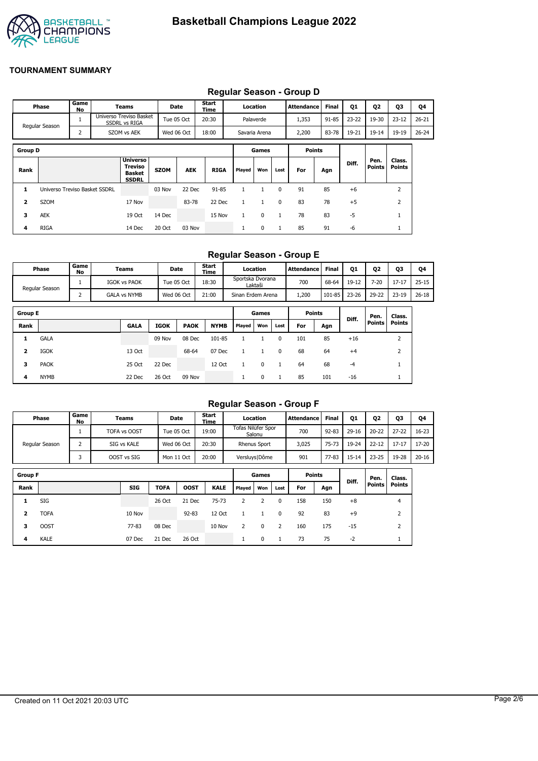

|                |                               |            |                                                                    |             |             |               |              |               |              | Requiar Season - Group D |              |           |                       |                         |           |
|----------------|-------------------------------|------------|--------------------------------------------------------------------|-------------|-------------|---------------|--------------|---------------|--------------|--------------------------|--------------|-----------|-----------------------|-------------------------|-----------|
|                | Phase                         | Game<br>No | <b>Teams</b>                                                       |             | <b>Date</b> | Start<br>Time |              | Location      |              | <b>Attendance</b>        | <b>Final</b> | 01        | Q <sub>2</sub>        | Q3                      | Q4        |
|                | Regular Season                |            | Universo Treviso Basket<br><b>SSDRL vs RIGA</b>                    |             | Tue 05 Oct  | 20:30         |              | Palaverde     |              | 1,353                    | $91 - 85$    | $23 - 22$ | 19-30                 | $23 - 12$               | $26 - 21$ |
|                |                               | 2          | SZOM vs AEK                                                        |             | Wed 06 Oct  | 18:00         |              | Savaria Arena |              | 2,200                    | 83-78        | 19-21     | $19 - 14$             | 19-19                   | $26 - 24$ |
| <b>Group D</b> |                               |            |                                                                    |             |             |               |              | Games         |              | <b>Points</b>            |              |           |                       |                         |           |
| Rank           |                               |            | <b>Universo</b><br><b>Treviso</b><br><b>Basket</b><br><b>SSDRL</b> | <b>SZOM</b> | <b>AEK</b>  | <b>RIGA</b>   | Played       | Won           | Lost         | For                      | Agn          | Diff.     | Pen.<br><b>Points</b> | Class.<br><b>Points</b> |           |
| 1              | Universo Treviso Basket SSDRL |            |                                                                    | 03 Nov      | 22 Dec      | $91 - 85$     | 1            |               | 0            | 91                       | 85           | $+6$      |                       | 2                       |           |
| 2              | SZOM                          |            | 17 Nov                                                             |             | 83-78       | 22 Dec        | 1            | $\mathbf{1}$  | $\mathbf{0}$ | 83                       | 78           | $+5$      |                       | $\overline{2}$          |           |
| 3              | <b>AEK</b>                    |            | 19 Oct                                                             | 14 Dec      |             | 15 Nov        | $\mathbf{1}$ | $\mathbf 0$   | 1            | 78                       | 83           | $-5$      |                       |                         |           |
| 4              | <b>RIGA</b>                   |            | 14 Dec                                                             | 20 Oct      | 03 Nov      |               | $\mathbf{1}$ | 0             |              | 85                       | 91           | -6        |                       |                         |           |

### **Regular Season - Group D**

## **Regular Season - Group E**

| <b>Phase</b>   | Game<br>No | Teams               | Date       | <b>Start</b><br>Time | Location                    | <b>Attendance</b> | <b>Final</b> | <b>Q1</b> | Q <sub>2</sub> | Q3        | Q4        |
|----------------|------------|---------------------|------------|----------------------|-----------------------------|-------------------|--------------|-----------|----------------|-----------|-----------|
| Regular Season |            | <b>IGOK vs PAOK</b> | Tue 05 Oct | 18:30                | Sportska Dvorana<br>Laktaši | 700               | 68-64        | 19-12     | 7-20           | $17 - 17$ | $25 - 15$ |
|                |            | <b>GALA vs NYMB</b> | Wed 06 Oct | 21:00                | Sinan Erdem Arena           | ,200              | 101-85       | $23 - 26$ | 29-22          | $23 - 19$ | $26 - 18$ |

| <b>Group E</b> |             |             |             |             |             |        | Games    |      | <b>Points</b> |     | Diff.   | Pen.          | Class.        |
|----------------|-------------|-------------|-------------|-------------|-------------|--------|----------|------|---------------|-----|---------|---------------|---------------|
| Rank           |             | <b>GALA</b> | <b>IGOK</b> | <b>PAOK</b> | <b>NYMB</b> | Played | Won      | Lost | For           | Agn |         | <b>Points</b> | <b>Points</b> |
|                | <b>GALA</b> |             | 09 Nov      | 08 Dec      | 101-85      |        |          | 0    | 101           | 85  | $+16$   |               |               |
| 2              | <b>IGOK</b> | 13 Oct      |             | 68-64       | 07 Dec      |        |          | 0    | 68            | 64  | $^{+4}$ |               |               |
| 3              | <b>PAOK</b> | 25 Oct      | 22 Dec      |             | 12 Oct      |        | $\Omega$ |      | 64            | 68  | -4      |               |               |
| 4              | <b>NYMB</b> | 22 Dec      | 26 Oct      | 09 Nov      |             |        | 0        |      | 85            | 101 | $-16$   |               |               |

## **Regular Season - Group F**

|                | Phase          | Game<br>No     | Teams        |        | Date        | Start<br>Time |        | Location                     |              | <b>Attendance</b> | <b>Final</b> | <b>Q1</b> | 02            | Q3             | Q4        |
|----------------|----------------|----------------|--------------|--------|-------------|---------------|--------|------------------------------|--------------|-------------------|--------------|-----------|---------------|----------------|-----------|
|                |                |                | TOFA vs OOST |        | Tue 05 Oct  | 19:00         |        | Tofas Nilüfer Spor<br>Salonu |              | 700               | $92 - 83$    | $29-16$   | $20 - 22$     | $27 - 22$      | $16 - 23$ |
|                | Regular Season | $\overline{2}$ | SIG vs KALE  |        | Wed 06 Oct  | 20:30         |        | <b>Rhenus Sport</b>          |              | 3,025             | 75-73        | 19-24     | $22 - 12$     | $17 - 17$      | 17-20     |
|                |                | 3              | OOST vs SIG  |        | Mon 11 Oct  | 20:00         |        | Versluys   Dôme              |              | 901               | $77 - 83$    | $15 - 14$ | $23 - 25$     | 19-28          | $20 - 16$ |
| <b>Group F</b> |                |                |              |        |             |               |        | Games                        |              | <b>Points</b>     |              |           | Pen.          | Class.         |           |
| Rank           |                |                | <b>SIG</b>   | TOFA   | <b>OOST</b> | <b>KALE</b>   | Played | Won                          | Lost         | For               | Agn          | Diff.     | <b>Points</b> | <b>Points</b>  |           |
| 1              | <b>SIG</b>     |                |              | 26 Oct | 21 Dec      | $75 - 73$     | 2      | 2                            | 0            | 158               | 150          | $+8$      |               | $\overline{4}$ |           |
| $\overline{2}$ | <b>TOFA</b>    |                | 10 Nov       |        | $92 - 83$   | 12 Oct        |        | 1                            | $\mathbf{0}$ | 92                | 83           | $+9$      |               | $\overline{2}$ |           |
| з              | <b>OOST</b>    |                | 77-83        | 08 Dec |             | 10 Nov        | 2      | 0                            | 2            | 160               | 175          | $-15$     |               | 2              |           |
| 4              | <b>KALE</b>    |                | 07 Dec       | 21 Dec | 26 Oct      |               | ш      | 0                            |              | 73                | 75           | $-2$      |               |                |           |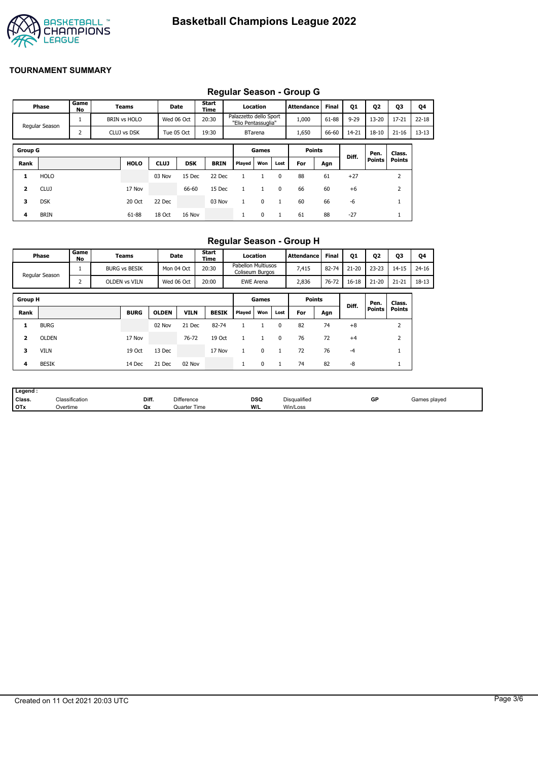

# **Regular Season - Group G**

|                |                |            |                     |             |            |               |                                               |                |              | Regular Ocason - Oroup O |              |          |               |               |           |
|----------------|----------------|------------|---------------------|-------------|------------|---------------|-----------------------------------------------|----------------|--------------|--------------------------|--------------|----------|---------------|---------------|-----------|
|                | Phase          | Game<br>No | Teams               |             | Date       | Start<br>Time |                                               | Location       |              | <b>Attendance</b>        | <b>Final</b> | Q1       | Q2            | <b>Q3</b>     | Q4        |
|                | Regular Season | 1          | <b>BRIN vs HOLO</b> |             | Wed 06 Oct | 20:30         | Palazzetto dello Sport<br>"Elio Pentassuglia" |                |              | 1,000                    | 61-88        | $9 - 29$ | $13 - 20$     | $17 - 21$     | $22 - 18$ |
|                |                | 2          | CLUJ vs DSK         |             | Tue 05 Oct | 19:30         |                                               | <b>BTarena</b> |              | 1,650                    | 66-60        | 14-21    | $18 - 10$     | $21 - 16$     | $13 - 13$ |
|                |                |            |                     |             |            |               |                                               |                |              |                          |              |          |               |               |           |
| <b>Group G</b> |                |            |                     |             |            |               |                                               | Games          |              | <b>Points</b>            |              | Diff.    | Pen.          | Class.        |           |
| Rank           |                |            | <b>HOLO</b>         | <b>CLUJ</b> | <b>DSK</b> | <b>BRIN</b>   | Played                                        | Won            | Lost         | For                      | Agn          |          | <b>Points</b> | <b>Points</b> |           |
| 1              | <b>HOLO</b>    |            |                     | 03 Nov      | 15 Dec     | 22 Dec        |                                               |                | $\Omega$     | 88                       | 61           | $+27$    |               | 2             |           |
| 2              | <b>CLUJ</b>    |            | 17 Nov              |             | 66-60      | 15 Dec        |                                               |                | 0            | 66                       | 60           | $+6$     |               | 2             |           |
| 3              | <b>DSK</b>     |            | 20 Oct              | 22 Dec      |            | 03 Nov        |                                               | $\mathbf 0$    | $\mathbf{1}$ | 60                       | 66           | $-6$     |               |               |           |
| 4              | <b>BRIN</b>    |            | 61-88               | 18 Oct      | 16 Nov     |               |                                               | 0              | 1            | 61                       | 88           | $-27$    |               |               |           |

## **Regular Season - Group H**

|                | Phase          | Game<br>No | Teams                | Date         |             | <b>Start</b><br>Time |                                              | Location         |          | Attendance    | <b>Final</b> | Q1        | Q <sub>2</sub> | Q3            | Q4        |
|----------------|----------------|------------|----------------------|--------------|-------------|----------------------|----------------------------------------------|------------------|----------|---------------|--------------|-----------|----------------|---------------|-----------|
|                | Regular Season |            | <b>BURG vs BESIK</b> | Mon 04 Oct   |             | 20:30                | <b>Pabellon Multiusos</b><br>Coliseum Burgos |                  |          | 7,415         | 82-74        | $21 - 20$ | $23 - 23$      | $14 - 15$     | $24 - 16$ |
|                |                | 2          | OLDEN vs VILN        | Wed 06 Oct   |             | 20:00                |                                              | <b>EWE Arena</b> |          | 2,836         | 76-72        | $16 - 18$ | $21 - 20$      | $21 - 21$     | 18-13     |
| <b>Group H</b> |                |            |                      |              |             |                      |                                              | Games            |          | <b>Points</b> |              |           | Pen.           | Class.        |           |
| Rank           |                |            | <b>BURG</b>          | <b>OLDEN</b> | <b>VILN</b> | <b>BESIK</b>         | Played                                       | Won              | Lost     | For           | Agn          | Diff.     | Points         | <b>Points</b> |           |
| 1              | <b>BURG</b>    |            |                      | 02 Nov       | 21 Dec      | 82-74                |                                              |                  | $\Omega$ | 82            | 74           | $+8$      |                | 2             |           |
| $\overline{2}$ | <b>OLDEN</b>   |            | 17 Nov               |              | 76-72       | 19 Oct               |                                              |                  | $\Omega$ | 76            | 72           | $+4$      |                | 2             |           |
| з              | <b>VILN</b>    |            | 19 Oct               | 13 Dec       |             | 17 Nov               |                                              | $\Omega$         |          | 72            | 76           | $-4$      |                |               |           |
| 4              | <b>BESIK</b>   |            | 14 Dec               | 21 Dec       | 02 Nov      |                      | л.                                           | 0                |          | 74            | 82           | -8        |                | <b>T</b>      |           |

| Legend:    |                            |       |                     |                    |              |    |              |
|------------|----------------------------|-------|---------------------|--------------------|--------------|----|--------------|
| Class.     | <sup>∽เ</sup> assification | Diff. | <b>Difference</b>   | <b>DSQ</b><br>$ -$ | Disqualified | GP | Games played |
| <b>OTx</b> | Overtime                   | Qx    | <b>Quarter Time</b> | W/L                | Win/Loss     |    |              |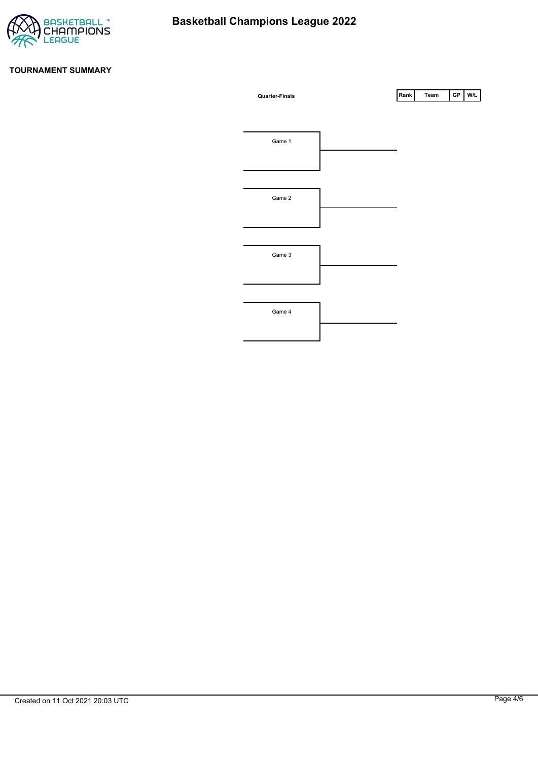

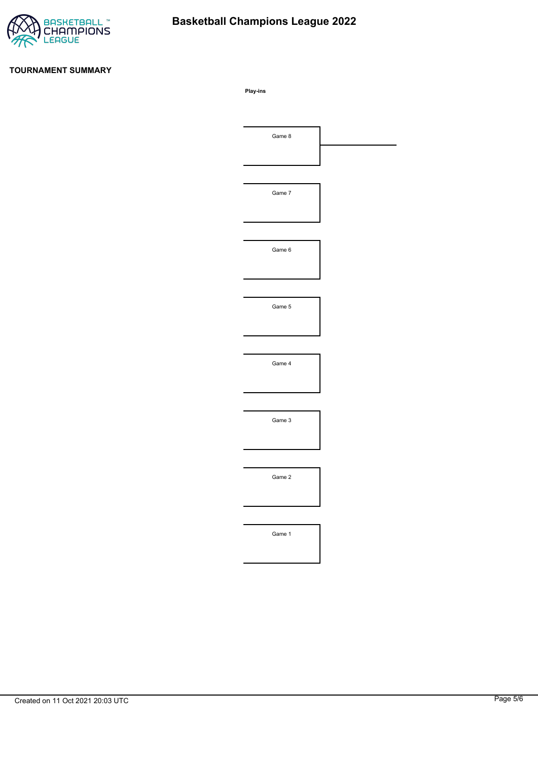

# **Basketball Champions League 2022**

#### **TOURNAMENT SUMMARY**

**Play-ins**

| Game 8 |  |
|--------|--|
|        |  |
|        |  |
| Game 7 |  |
|        |  |
|        |  |
| Game 6 |  |
|        |  |
|        |  |
| Game 5 |  |
|        |  |
|        |  |
| Game 4 |  |
|        |  |
|        |  |
| Game 3 |  |
|        |  |
|        |  |
|        |  |
| Game 2 |  |
|        |  |
|        |  |
| Game 1 |  |
|        |  |
|        |  |